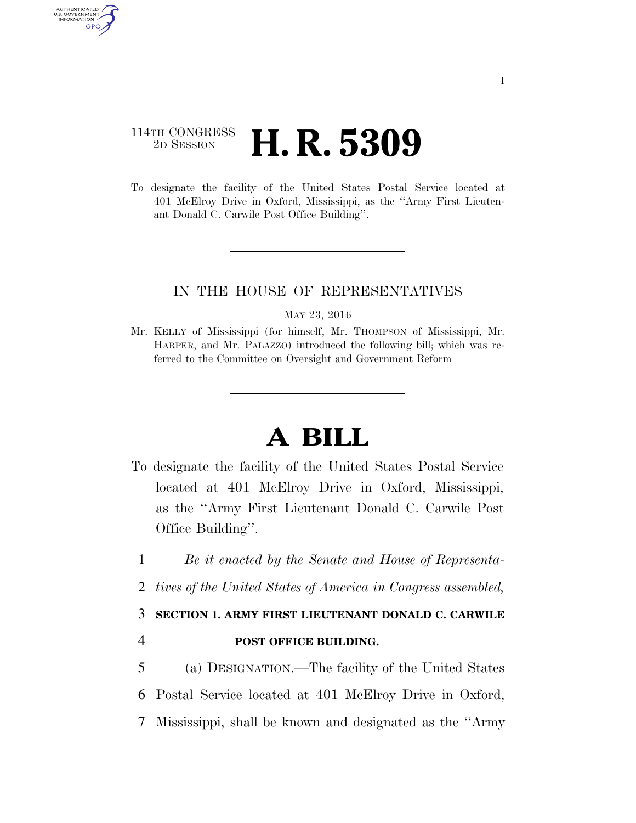## 114TH CONGRESS <sup>2D SESSION</sup> **H. R. 5309**

AUTHENTICATED U.S. GOVERNMENT GPO

> To designate the facility of the United States Postal Service located at 401 McElroy Drive in Oxford, Mississippi, as the ''Army First Lieutenant Donald C. Carwile Post Office Building''.

### IN THE HOUSE OF REPRESENTATIVES

MAY 23, 2016

Mr. KELLY of Mississippi (for himself, Mr. THOMPSON of Mississippi, Mr. HARPER, and Mr. PALAZZO) introduced the following bill; which was referred to the Committee on Oversight and Government Reform

# **A BILL**

- To designate the facility of the United States Postal Service located at 401 McElroy Drive in Oxford, Mississippi, as the ''Army First Lieutenant Donald C. Carwile Post Office Building''.
	- 1 *Be it enacted by the Senate and House of Representa-*
	- 2 *tives of the United States of America in Congress assembled,*

## 3 **SECTION 1. ARMY FIRST LIEUTENANT DONALD C. CARWILE**

### 4 **POST OFFICE BUILDING.**

5 (a) DESIGNATION.—The facility of the United States 6 Postal Service located at 401 McElroy Drive in Oxford, 7 Mississippi, shall be known and designated as the ''Army